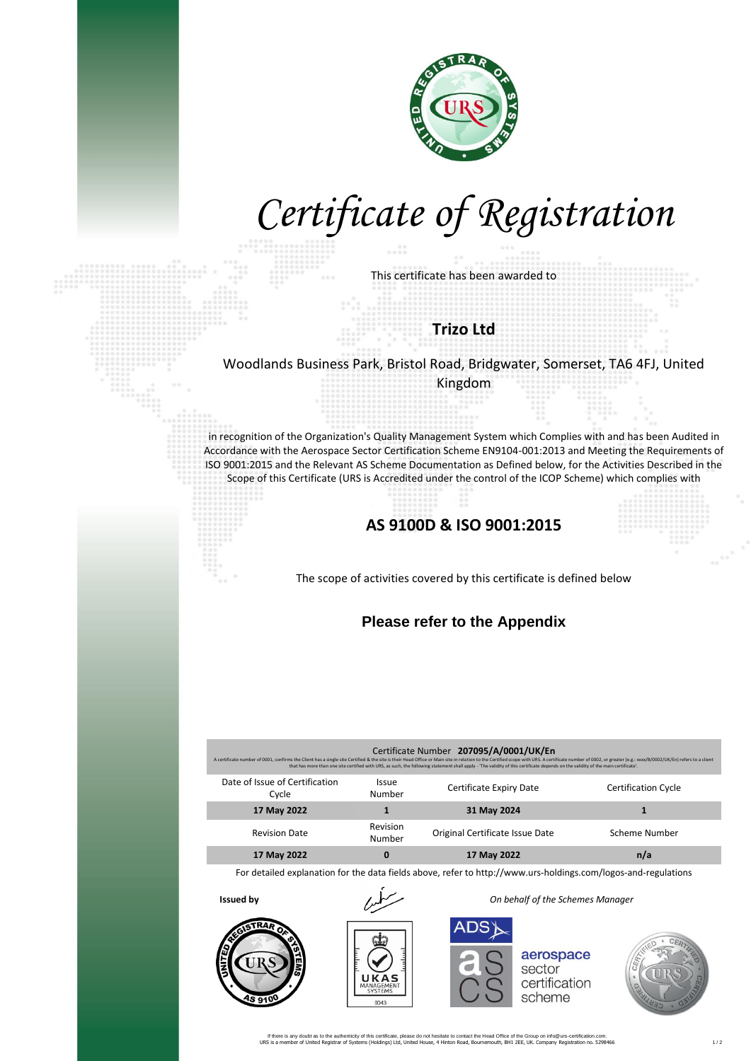

# *Certificate of Registration*

This certificate has been awarded to

### **Trizo Ltd**

#### Woodlands Business Park, Bristol Road, Bridgwater, Somerset, TA6 4FJ, United Kingdom

in recognition of the Organization's Quality Management System which Complies with and has been Audited in Accordance with the Aerospace Sector Certification Scheme EN9104-001:2013 and Meeting the Requirements of ISO 9001:2015 and the Relevant AS Scheme Documentation as Defined below, for the Activities Described in the Scope of this Certificate (URS is Accredited under the control of the ICOP Scheme) which complies with

## **AS 9100D & ISO 9001:2015**

The scope of activities covered by this certificate is defined below

#### **Please refer to the Appendix**

| Certificate Number 207095/A/0001/UK/En<br>A certificate number of 0001, confirms the Client has a single site Certified & the site is their Head Office or Main site in relation to the Certified scope with URS. A certificate number of 0002, or greater (e.g.: xxx/B/<br>that has more than one site certified with URS, as such, the following statement shall apply - 'The validity of this certificate depends on the validity of the main certificate'. |                        |                                 |                            |  |  |
|----------------------------------------------------------------------------------------------------------------------------------------------------------------------------------------------------------------------------------------------------------------------------------------------------------------------------------------------------------------------------------------------------------------------------------------------------------------|------------------------|---------------------------------|----------------------------|--|--|
| Date of Issue of Certification<br>Cycle                                                                                                                                                                                                                                                                                                                                                                                                                        | <b>Issue</b><br>Number | Certificate Expiry Date         | <b>Certification Cycle</b> |  |  |
| 17 May 2022                                                                                                                                                                                                                                                                                                                                                                                                                                                    |                        | 31 May 2024                     |                            |  |  |
| <b>Revision Date</b>                                                                                                                                                                                                                                                                                                                                                                                                                                           | Revision<br>Number     | Original Certificate Issue Date | Scheme Number              |  |  |
| 17 May 2022                                                                                                                                                                                                                                                                                                                                                                                                                                                    | 0                      | 17 May 2022                     | n/a                        |  |  |

For detailed explanation for the data fields above, refer to http://www.urs-holdings.com/logos-and-regulations





**Issued by** *On behalf of the Schemes Manager*

aerospace sector certification scheme